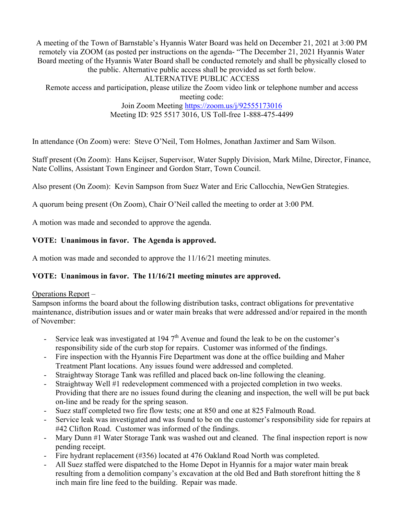A meeting of the Town of Barnstable's Hyannis Water Board was held on December 21, 2021 at 3:00 PM remotely via ZOOM (as posted per instructions on the agenda- "The December 21, 2021 Hyannis Water Board meeting of the Hyannis Water Board shall be conducted remotely and shall be physically closed to the public. Alternative public access shall be provided as set forth below. ALTERNATIVE PUBLIC ACCESS

Remote access and participation, please utilize the Zoom video link or telephone number and access meeting code:

Join Zoom Meeting https://zoom.us/j/92555173016 Meeting ID: 925 5517 3016, US Toll-free 1-888-475-4499

In attendance (On Zoom) were: Steve O'Neil, Tom Holmes, Jonathan Jaxtimer and Sam Wilson.

Staff present (On Zoom): Hans Keijser, Supervisor, Water Supply Division, Mark Milne, Director, Finance, Nate Collins, Assistant Town Engineer and Gordon Starr, Town Council.

Also present (On Zoom): Kevin Sampson from Suez Water and Eric Callocchia, NewGen Strategies.

A quorum being present (On Zoom), Chair O'Neil called the meeting to order at 3:00 PM.

A motion was made and seconded to approve the agenda.

## **VOTE: Unanimous in favor. The Agenda is approved.**

A motion was made and seconded to approve the 11/16/21 meeting minutes.

### **VOTE: Unanimous in favor. The 11/16/21 meeting minutes are approved.**

### Operations Report –

Sampson informs the board about the following distribution tasks, contract obligations for preventative maintenance, distribution issues and or water main breaks that were addressed and/or repaired in the month of November:

- Service leak was investigated at 194  $7<sup>th</sup>$  Avenue and found the leak to be on the customer's responsibility side of the curb stop for repairs. Customer was informed of the findings.
- Fire inspection with the Hyannis Fire Department was done at the office building and Maher Treatment Plant locations. Any issues found were addressed and completed.
- Straightway Storage Tank was refilled and placed back on-line following the cleaning.
- Straightway Well #1 redevelopment commenced with a projected completion in two weeks. Providing that there are no issues found during the cleaning and inspection, the well will be put back on-line and be ready for the spring season.
- Suez staff completed two fire flow tests; one at 850 and one at 825 Falmouth Road.
- Service leak was investigated and was found to be on the customer's responsibility side for repairs at #42 Clifton Road. Customer was informed of the findings.
- Mary Dunn #1 Water Storage Tank was washed out and cleaned. The final inspection report is now pending receipt.
- Fire hydrant replacement (#356) located at 476 Oakland Road North was completed.
- All Suez staffed were dispatched to the Home Depot in Hyannis for a major water main break resulting from a demolition company's excavation at the old Bed and Bath storefront hitting the 8 inch main fire line feed to the building. Repair was made.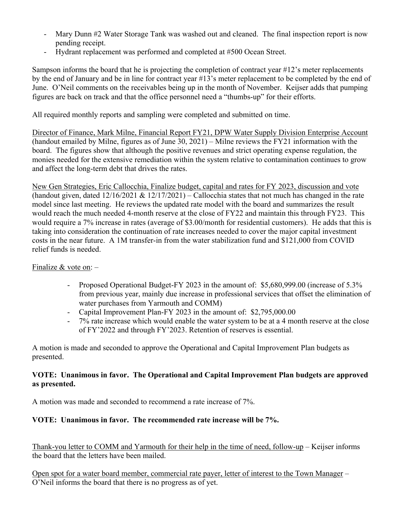- Mary Dunn #2 Water Storage Tank was washed out and cleaned. The final inspection report is now pending receipt.
- Hydrant replacement was performed and completed at #500 Ocean Street.

Sampson informs the board that he is projecting the completion of contract year #12's meter replacements by the end of January and be in line for contract year #13's meter replacement to be completed by the end of June. O'Neil comments on the receivables being up in the month of November. Keijser adds that pumping figures are back on track and that the office personnel need a "thumbs-up" for their efforts.

All required monthly reports and sampling were completed and submitted on time.

Director of Finance, Mark Milne, Financial Report FY21, DPW Water Supply Division Enterprise Account (handout emailed by Milne, figures as of June 30, 2021) – Milne reviews the FY21 information with the board. The figures show that although the positive revenues and strict operating expense regulation, the monies needed for the extensive remediation within the system relative to contamination continues to grow and affect the long-term debt that drives the rates.

New Gen Strategies, Eric Callocchia, Finalize budget, capital and rates for FY 2023, discussion and vote (handout given, dated  $12/16/2021 \& 12/17/2021$ ) – Callocchia states that not much has changed in the rate model since last meeting. He reviews the updated rate model with the board and summarizes the result would reach the much needed 4-month reserve at the close of FY22 and maintain this through FY23. This would require a 7% increase in rates (average of \$3.00/month for residential customers). He adds that this is taking into consideration the continuation of rate increases needed to cover the major capital investment costs in the near future. A 1M transfer-in from the water stabilization fund and \$121,000 from COVID relief funds is needed.

### Finalize & vote on:  $-$

- Proposed Operational Budget-FY 2023 in the amount of: \$5,680,999.00 (increase of 5.3% from previous year, mainly due increase in professional services that offset the elimination of water purchases from Yarmouth and COMM)
- Capital Improvement Plan-FY 2023 in the amount of: \$2,795,000.00
- 7% rate increase which would enable the water system to be at a 4 month reserve at the close of FY'2022 and through FY'2023. Retention of reserves is essential.

A motion is made and seconded to approve the Operational and Capital Improvement Plan budgets as presented.

### **VOTE: Unanimous in favor. The Operational and Capital Improvement Plan budgets are approved as presented.**

A motion was made and seconded to recommend a rate increase of 7%.

# **VOTE: Unanimous in favor. The recommended rate increase will be 7%.**

Thank-you letter to COMM and Yarmouth for their help in the time of need, follow-up – Keijser informs the board that the letters have been mailed.

Open spot for a water board member, commercial rate payer, letter of interest to the Town Manager – O'Neil informs the board that there is no progress as of yet.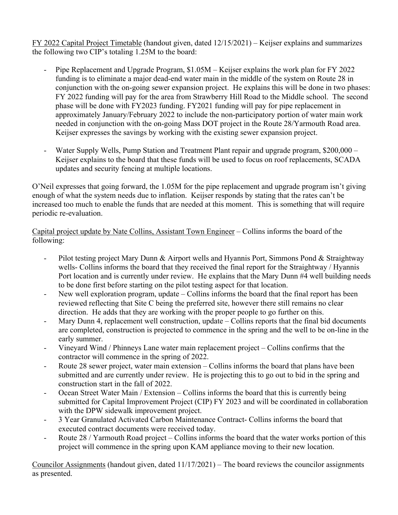FY 2022 Capital Project Timetable (handout given, dated 12/15/2021) – Keijser explains and summarizes the following two CIP's totaling 1.25M to the board:

- Pipe Replacement and Upgrade Program, \$1.05M Keijser explains the work plan for FY 2022 funding is to eliminate a major dead-end water main in the middle of the system on Route 28 in conjunction with the on-going sewer expansion project. He explains this will be done in two phases: FY 2022 funding will pay for the area from Strawberry Hill Road to the Middle school. The second phase will be done with FY2023 funding. FY2021 funding will pay for pipe replacement in approximately January/February 2022 to include the non-participatory portion of water main work needed in conjunction with the on-going Mass DOT project in the Route 28/Yarmouth Road area. Keijser expresses the savings by working with the existing sewer expansion project.
- Water Supply Wells, Pump Station and Treatment Plant repair and upgrade program, \$200,000 Keijser explains to the board that these funds will be used to focus on roof replacements, SCADA updates and security fencing at multiple locations.

O'Neil expresses that going forward, the 1.05M for the pipe replacement and upgrade program isn't giving enough of what the system needs due to inflation. Keijser responds by stating that the rates can't be increased too much to enable the funds that are needed at this moment. This is something that will require periodic re-evaluation.

Capital project update by Nate Collins, Assistant Town Engineer – Collins informs the board of the following:

- Pilot testing project Mary Dunn & Airport wells and Hyannis Port, Simmons Pond & Straightway wells- Collins informs the board that they received the final report for the Straightway / Hyannis Port location and is currently under review. He explains that the Mary Dunn #4 well building needs to be done first before starting on the pilot testing aspect for that location.
- New well exploration program, update Collins informs the board that the final report has been reviewed reflecting that Site C being the preferred site, however there still remains no clear direction. He adds that they are working with the proper people to go further on this.
- Mary Dunn 4, replacement well construction, update Collins reports that the final bid documents are completed, construction is projected to commence in the spring and the well to be on-line in the early summer.
- Vineyard Wind / Phinneys Lane water main replacement project Collins confirms that the contractor will commence in the spring of 2022.
- Route 28 sewer project, water main extension Collins informs the board that plans have been submitted and are currently under review. He is projecting this to go out to bid in the spring and construction start in the fall of 2022.
- Ocean Street Water Main / Extension Collins informs the board that this is currently being submitted for Capital Improvement Project (CIP) FY 2023 and will be coordinated in collaboration with the DPW sidewalk improvement project.
- 3 Year Granulated Activated Carbon Maintenance Contract- Collins informs the board that executed contract documents were received today.
- Route 28 / Yarmouth Road project Collins informs the board that the water works portion of this project will commence in the spring upon KAM appliance moving to their new location.

Councilor Assignments (handout given, dated 11/17/2021) – The board reviews the councilor assignments as presented.